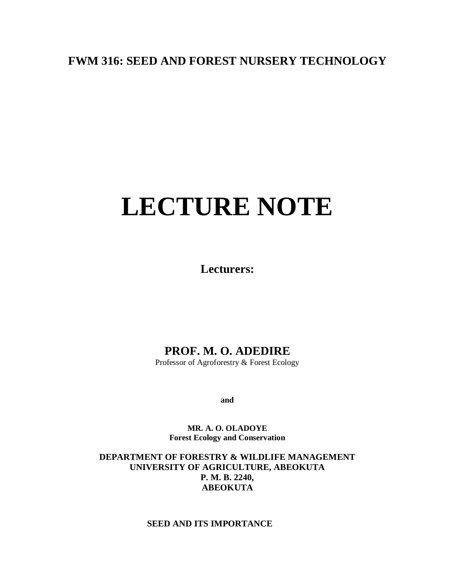# **FWM 316: SEED AND FOREST NURSERY TECHNOLOGY**

# **LECTURE NOTE**

**Lecturers:**

# **PROF. M. O. ADEDIRE**

Professor of Agroforestry & Forest Ecology

**and**

**MR. A. O. OLADOYE Forest Ecology and Conservation**

**DEPARTMENT OF FORESTRY & WILDLIFE MANAGEMENT UNIVERSITY OF AGRICULTURE, ABEOKUTA P. M. B. 2240, ABEOKUTA**

# **SEED AND ITS IMPORTANCE**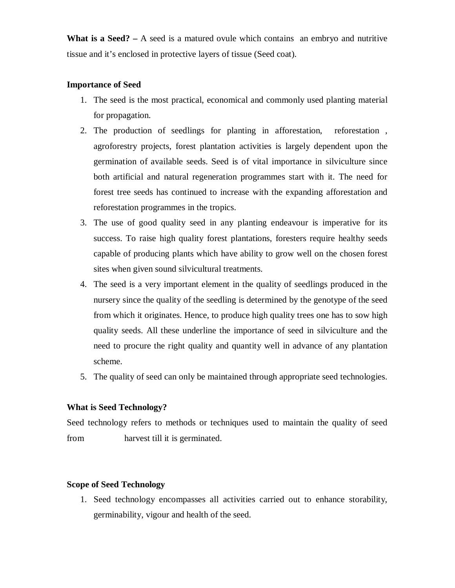**What is a Seed? –** A seed is a matured ovule which contains an embryo and nutritive tissue and it's enclosed in protective layers of tissue (Seed coat).

# **Importance of Seed**

- 1. The seed is the most practical, economical and commonly used planting material for propagation.
- 2. The production of seedlings for planting in afforestation, reforestation , agroforestry projects, forest plantation activities is largely dependent upon the germination of available seeds. Seed is of vital importance in silviculture since both artificial and natural regeneration programmes start with it. The need for forest tree seeds has continued to increase with the expanding afforestation and reforestation programmes in the tropics.
- 3. The use of good quality seed in any planting endeavour is imperative for its success. To raise high quality forest plantations, foresters require healthy seeds capable of producing plants which have ability to grow well on the chosen forest sites when given sound silvicultural treatments.
- 4. The seed is a very important element in the quality of seedlings produced in the nursery since the quality of the seedling is determined by the genotype of the seed from which it originates. Hence, to produce high quality trees one has to sow high quality seeds. All these underline the importance of seed in silviculture and the need to procure the right quality and quantity well in advance of any plantation scheme.
- 5. The quality of seed can only be maintained through appropriate seed technologies.

# **What is Seed Technology?**

Seed technology refers to methods or techniques used to maintain the quality of seed from harvest till it is germinated.

# **Scope of Seed Technology**

1. Seed technology encompasses all activities carried out to enhance storability, germinability, vigour and health of the seed.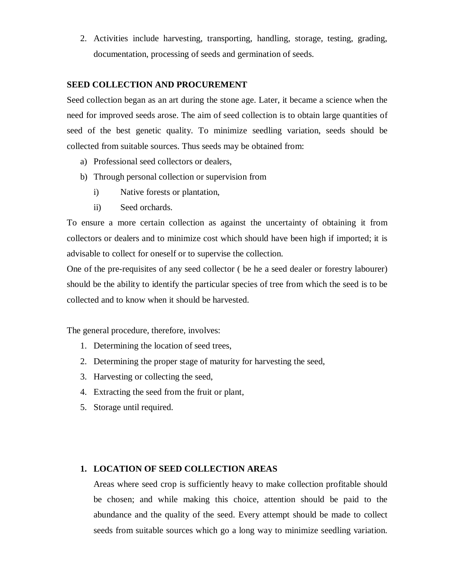2. Activities include harvesting, transporting, handling, storage, testing, grading, documentation, processing of seeds and germination of seeds.

# **SEED COLLECTION AND PROCUREMENT**

Seed collection began as an art during the stone age. Later, it became a science when the need for improved seeds arose. The aim of seed collection is to obtain large quantities of seed of the best genetic quality. To minimize seedling variation, seeds should be collected from suitable sources. Thus seeds may be obtained from:

- a) Professional seed collectors or dealers,
- b) Through personal collection or supervision from
	- i) Native forests or plantation,
	- ii) Seed orchards.

To ensure a more certain collection as against the uncertainty of obtaining it from collectors or dealers and to minimize cost which should have been high if imported; it is advisable to collect for oneself or to supervise the collection.

One of the pre-requisites of any seed collector ( be he a seed dealer or forestry labourer) should be the ability to identify the particular species of tree from which the seed is to be collected and to know when it should be harvested.

The general procedure, therefore, involves:

- 1. Determining the location of seed trees,
- 2. Determining the proper stage of maturity for harvesting the seed,
- 3. Harvesting or collecting the seed,
- 4. Extracting the seed from the fruit or plant,
- 5. Storage until required.

# **1. LOCATION OF SEED COLLECTION AREAS**

Areas where seed crop is sufficiently heavy to make collection profitable should be chosen; and while making this choice, attention should be paid to the abundance and the quality of the seed. Every attempt should be made to collect seeds from suitable sources which go a long way to minimize seedling variation.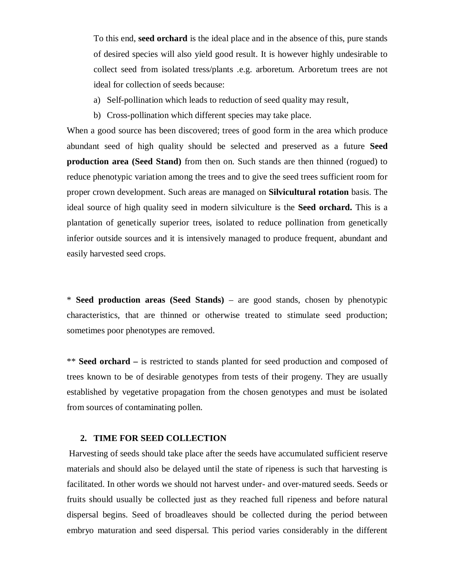To this end, **seed orchard** is the ideal place and in the absence of this, pure stands of desired species will also yield good result. It is however highly undesirable to collect seed from isolated tress/plants .e.g. arboretum. Arboretum trees are not ideal for collection of seeds because:

- a) Self-pollination which leads to reduction of seed quality may result,
- b) Cross-pollination which different species may take place.

When a good source has been discovered; trees of good form in the area which produce abundant seed of high quality should be selected and preserved as a future **Seed production area (Seed Stand)** from then on. Such stands are then thinned (rogued) to reduce phenotypic variation among the trees and to give the seed trees sufficient room for proper crown development. Such areas are managed on **Silvicultural rotation** basis. The ideal source of high quality seed in modern silviculture is the **Seed orchard.** This is a plantation of genetically superior trees, isolated to reduce pollination from genetically inferior outside sources and it is intensively managed to produce frequent, abundant and easily harvested seed crops.

\* **Seed production areas (Seed Stands)** – are good stands, chosen by phenotypic characteristics, that are thinned or otherwise treated to stimulate seed production; sometimes poor phenotypes are removed.

\*\* **Seed orchard –** is restricted to stands planted for seed production and composed of trees known to be of desirable genotypes from tests of their progeny. They are usually established by vegetative propagation from the chosen genotypes and must be isolated from sources of contaminating pollen.

#### **2. TIME FOR SEED COLLECTION**

Harvesting of seeds should take place after the seeds have accumulated sufficient reserve materials and should also be delayed until the state of ripeness is such that harvesting is facilitated. In other words we should not harvest under- and over-matured seeds. Seeds or fruits should usually be collected just as they reached full ripeness and before natural dispersal begins. Seed of broadleaves should be collected during the period between embryo maturation and seed dispersal. This period varies considerably in the different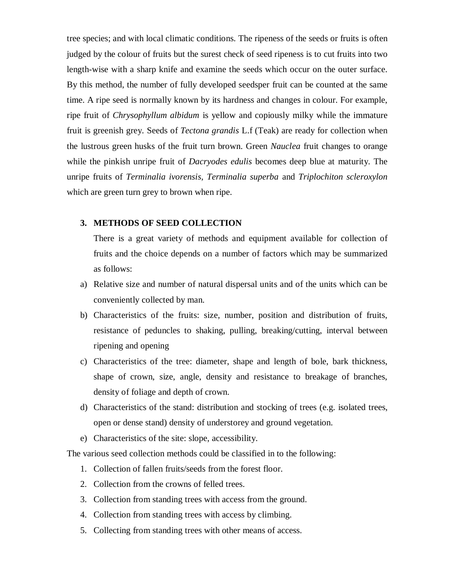tree species; and with local climatic conditions. The ripeness of the seeds or fruits is often judged by the colour of fruits but the surest check of seed ripeness is to cut fruits into two length-wise with a sharp knife and examine the seeds which occur on the outer surface. By this method, the number of fully developed seedsper fruit can be counted at the same time. A ripe seed is normally known by its hardness and changes in colour. For example, ripe fruit of *Chrysophyllum albidum* is yellow and copiously milky while the immature fruit is greenish grey. Seeds of *Tectona grandis* L.f (Teak) are ready for collection when the lustrous green husks of the fruit turn brown. Green *Nauclea* fruit changes to orange while the pinkish unripe fruit of *Dacryodes edulis* becomes deep blue at maturity. The unripe fruits of *Terminalia ivorensis, Terminalia superba* and *Triplochiton scleroxylon* which are green turn grey to brown when ripe.

#### **3. METHODS OF SEED COLLECTION**

There is a great variety of methods and equipment available for collection of fruits and the choice depends on a number of factors which may be summarized as follows:

- a) Relative size and number of natural dispersal units and of the units which can be conveniently collected by man.
- b) Characteristics of the fruits: size, number, position and distribution of fruits, resistance of peduncles to shaking, pulling, breaking/cutting, interval between ripening and opening
- c) Characteristics of the tree: diameter, shape and length of bole, bark thickness, shape of crown, size, angle, density and resistance to breakage of branches, density of foliage and depth of crown.
- d) Characteristics of the stand: distribution and stocking of trees (e.g. isolated trees, open or dense stand) density of understorey and ground vegetation.
- e) Characteristics of the site: slope, accessibility.

The various seed collection methods could be classified in to the following:

- 1. Collection of fallen fruits/seeds from the forest floor.
- 2. Collection from the crowns of felled trees.
- 3. Collection from standing trees with access from the ground.
- 4. Collection from standing trees with access by climbing.
- 5. Collecting from standing trees with other means of access.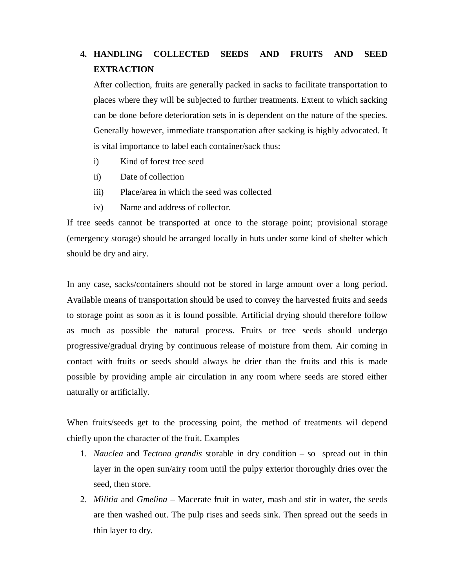# **4. HANDLING COLLECTED SEEDS AND FRUITS AND SEED EXTRACTION**

After collection, fruits are generally packed in sacks to facilitate transportation to places where they will be subjected to further treatments. Extent to which sacking can be done before deterioration sets in is dependent on the nature of the species. Generally however, immediate transportation after sacking is highly advocated. It is vital importance to label each container/sack thus:

- i) Kind of forest tree seed
- ii) Date of collection
- iii) Place/area in which the seed was collected
- iv) Name and address of collector.

If tree seeds cannot be transported at once to the storage point; provisional storage (emergency storage) should be arranged locally in huts under some kind of shelter which should be dry and airy.

In any case, sacks/containers should not be stored in large amount over a long period. Available means of transportation should be used to convey the harvested fruits and seeds to storage point as soon as it is found possible. Artificial drying should therefore follow as much as possible the natural process. Fruits or tree seeds should undergo progressive/gradual drying by continuous release of moisture from them. Air coming in contact with fruits or seeds should always be drier than the fruits and this is made possible by providing ample air circulation in any room where seeds are stored either naturally or artificially.

When fruits/seeds get to the processing point, the method of treatments wil depend chiefly upon the character of the fruit. Examples

- 1. *Nauclea* and *Tectona grandis* storable in dry condition so spread out in thin layer in the open sun/airy room until the pulpy exterior thoroughly dries over the seed, then store.
- 2. *Militia* and *Gmelina* Macerate fruit in water, mash and stir in water, the seeds are then washed out. The pulp rises and seeds sink. Then spread out the seeds in thin layer to dry.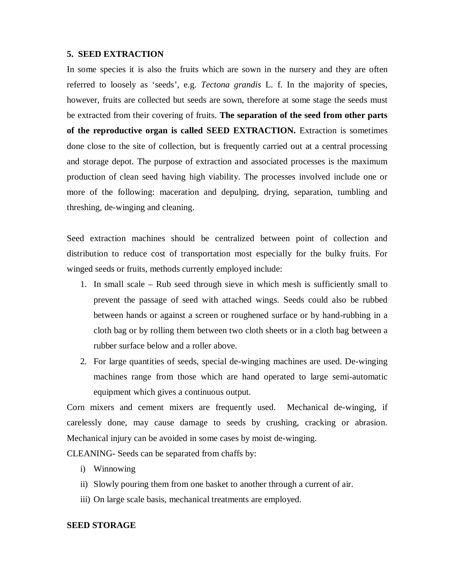#### **5. SEED EXTRACTION**

In some species it is also the fruits which are sown in the nursery and they are often referred to loosely as 'seeds', e.g. *Tectona grandis* L. f. In the majority of species, however, fruits are collected but seeds are sown, therefore at some stage the seeds must be extracted from their covering of fruits. **The separation of the seed from other parts of the reproductive organ is called SEED EXTRACTION.** Extraction is sometimes done close to the site of collection, but is frequently carried out at a central processing and storage depot. The purpose of extraction and associated processes is the maximum production of clean seed having high viability. The processes involved include one or more of the following: maceration and depulping, drying, separation, tumbling and threshing, de-winging and cleaning.

Seed extraction machines should be centralized between point of collection and distribution to reduce cost of transportation most especially for the bulky fruits. For winged seeds or fruits, methods currently employed include:

- 1. In small scale Rub seed through sieve in which mesh is sufficiently small to prevent the passage of seed with attached wings. Seeds could also be rubbed between hands or against a screen or roughened surface or by hand-rubbing in a cloth bag or by rolling them between two cloth sheets or in a cloth bag between a rubber surface below and a roller above.
- 2. For large quantities of seeds, special de-winging machines are used. De-winging machines range from those which are hand operated to large semi-automatic equipment which gives a continuous output.

Corn mixers and cement mixers are frequently used. Mechanical de-winging, if carelessly done, may cause damage to seeds by crushing, cracking or abrasion. Mechanical injury can be avoided in some cases by moist de-winging.

CLEANING- Seeds can be separated from chaffs by:

- i) Winnowing
- ii) Slowly pouring them from one basket to another through a current of air.
- iii) On large scale basis, mechanical treatments are employed.

## **SEED STORAGE**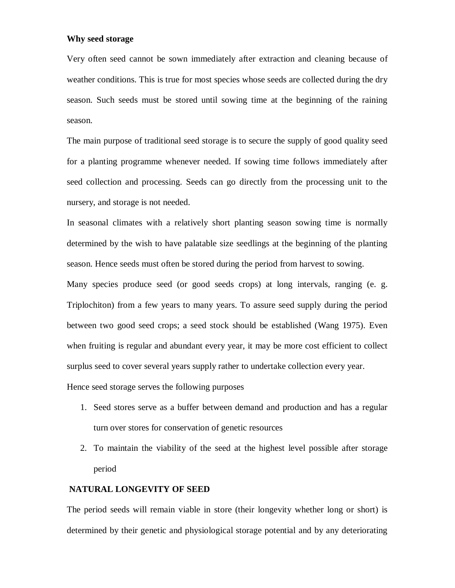#### **Why seed storage**

Very often seed cannot be sown immediately after extraction and cleaning because of weather conditions. This is true for most species whose seeds are collected during the dry season. Such seeds must be stored until sowing time at the beginning of the raining season.

The main purpose of traditional seed storage is to secure the supply of good quality seed for a planting programme whenever needed. If sowing time follows immediately after seed collection and processing. Seeds can go directly from the processing unit to the nursery, and storage is not needed.

In seasonal climates with a relatively short planting season sowing time is normally determined by the wish to have palatable size seedlings at the beginning of the planting season. Hence seeds must often be stored during the period from harvest to sowing.

Many species produce seed (or good seeds crops) at long intervals, ranging (e. g. Triplochiton) from a few years to many years. To assure seed supply during the period between two good seed crops; a seed stock should be established (Wang 1975). Even when fruiting is regular and abundant every year, it may be more cost efficient to collect surplus seed to cover several years supply rather to undertake collection every year.

Hence seed storage serves the following purposes

- 1. Seed stores serve as a buffer between demand and production and has a regular turn over stores for conservation of genetic resources
- 2. To maintain the viability of the seed at the highest level possible after storage period

# **NATURAL LONGEVITY OF SEED**

The period seeds will remain viable in store (their longevity whether long or short) is determined by their genetic and physiological storage potential and by any deteriorating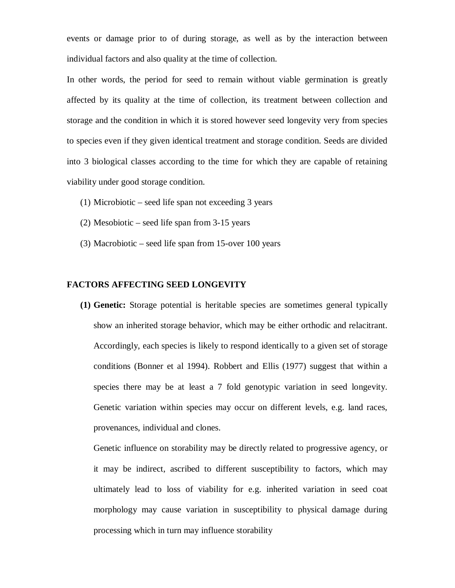events or damage prior to of during storage, as well as by the interaction between individual factors and also quality at the time of collection.

In other words, the period for seed to remain without viable germination is greatly affected by its quality at the time of collection, its treatment between collection and storage and the condition in which it is stored however seed longevity very from species to species even if they given identical treatment and storage condition. Seeds are divided into 3 biological classes according to the time for which they are capable of retaining viability under good storage condition.

- (1) Microbiotic seed life span not exceeding 3 years
- (2) Mesobiotic seed life span from 3-15 years
- (3) Macrobiotic seed life span from 15-over 100 years

#### **FACTORS AFFECTING SEED LONGEVITY**

**(1) Genetic:** Storage potential is heritable species are sometimes general typically show an inherited storage behavior, which may be either orthodic and relacitrant. Accordingly, each species is likely to respond identically to a given set of storage conditions (Bonner et al 1994). Robbert and Ellis (1977) suggest that within a species there may be at least a 7 fold genotypic variation in seed longevity. Genetic variation within species may occur on different levels, e.g. land races, provenances, individual and clones.

Genetic influence on storability may be directly related to progressive agency, or it may be indirect, ascribed to different susceptibility to factors, which may ultimately lead to loss of viability for e.g. inherited variation in seed coat morphology may cause variation in susceptibility to physical damage during processing which in turn may influence storability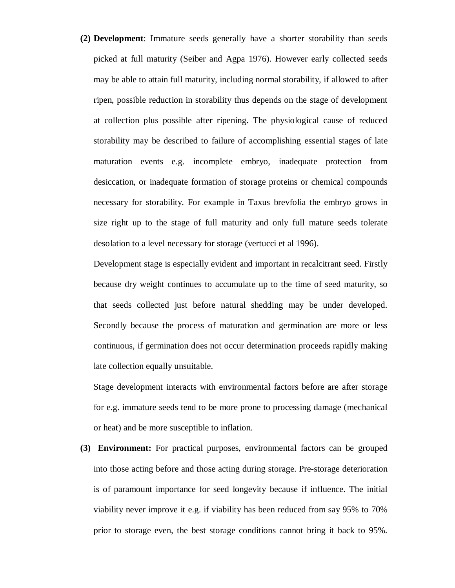**(2) Development**: Immature seeds generally have a shorter storability than seeds picked at full maturity (Seiber and Agpa 1976). However early collected seeds may be able to attain full maturity, including normal storability, if allowed to after ripen, possible reduction in storability thus depends on the stage of development at collection plus possible after ripening. The physiological cause of reduced storability may be described to failure of accomplishing essential stages of late maturation events e.g. incomplete embryo, inadequate protection from desiccation, or inadequate formation of storage proteins or chemical compounds necessary for storability. For example in Taxus brevfolia the embryo grows in size right up to the stage of full maturity and only full mature seeds tolerate desolation to a level necessary for storage (vertucci et al 1996).

Development stage is especially evident and important in recalcitrant seed. Firstly because dry weight continues to accumulate up to the time of seed maturity, so that seeds collected just before natural shedding may be under developed. Secondly because the process of maturation and germination are more or less continuous, if germination does not occur determination proceeds rapidly making late collection equally unsuitable.

Stage development interacts with environmental factors before are after storage for e.g. immature seeds tend to be more prone to processing damage (mechanical or heat) and be more susceptible to inflation.

**(3) Environment:** For practical purposes, environmental factors can be grouped into those acting before and those acting during storage. Pre-storage deterioration is of paramount importance for seed longevity because if influence. The initial viability never improve it e.g. if viability has been reduced from say 95% to 70% prior to storage even, the best storage conditions cannot bring it back to 95%.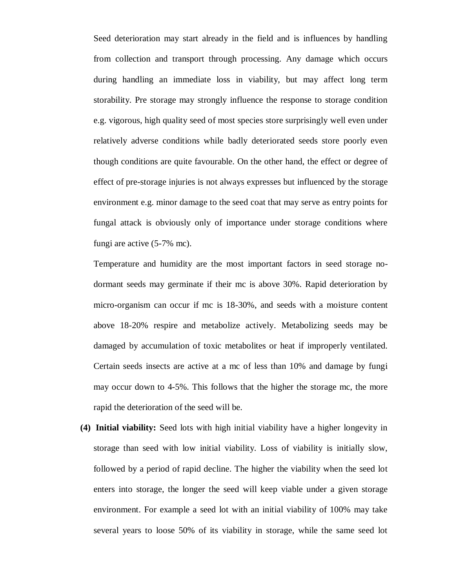Seed deterioration may start already in the field and is influences by handling from collection and transport through processing. Any damage which occurs during handling an immediate loss in viability, but may affect long term storability. Pre storage may strongly influence the response to storage condition e.g. vigorous, high quality seed of most species store surprisingly well even under relatively adverse conditions while badly deteriorated seeds store poorly even though conditions are quite favourable. On the other hand, the effect or degree of effect of pre-storage injuries is not always expresses but influenced by the storage environment e.g. minor damage to the seed coat that may serve as entry points for fungal attack is obviously only of importance under storage conditions where fungi are active (5-7% mc).

Temperature and humidity are the most important factors in seed storage nodormant seeds may germinate if their mc is above 30%. Rapid deterioration by micro-organism can occur if mc is 18-30%, and seeds with a moisture content above 18-20% respire and metabolize actively. Metabolizing seeds may be damaged by accumulation of toxic metabolites or heat if improperly ventilated. Certain seeds insects are active at a mc of less than 10% and damage by fungi may occur down to 4-5%. This follows that the higher the storage mc, the more rapid the deterioration of the seed will be.

**(4) Initial viability:** Seed lots with high initial viability have a higher longevity in storage than seed with low initial viability. Loss of viability is initially slow, followed by a period of rapid decline. The higher the viability when the seed lot enters into storage, the longer the seed will keep viable under a given storage environment. For example a seed lot with an initial viability of 100% may take several years to loose 50% of its viability in storage, while the same seed lot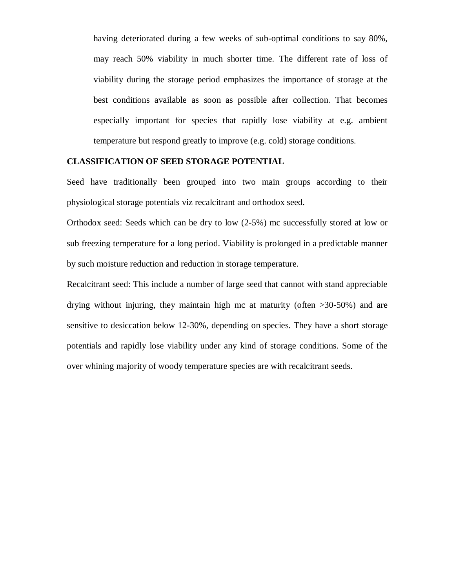having deteriorated during a few weeks of sub-optimal conditions to say 80%, may reach 50% viability in much shorter time. The different rate of loss of viability during the storage period emphasizes the importance of storage at the best conditions available as soon as possible after collection. That becomes especially important for species that rapidly lose viability at e.g. ambient temperature but respond greatly to improve (e.g. cold) storage conditions.

## **CLASSIFICATION OF SEED STORAGE POTENTIAL**

Seed have traditionally been grouped into two main groups according to their physiological storage potentials viz recalcitrant and orthodox seed.

Orthodox seed: Seeds which can be dry to low (2-5%) mc successfully stored at low or sub freezing temperature for a long period. Viability is prolonged in a predictable manner by such moisture reduction and reduction in storage temperature.

Recalcitrant seed: This include a number of large seed that cannot with stand appreciable drying without injuring, they maintain high mc at maturity (often >30-50%) and are sensitive to desiccation below 12-30%, depending on species. They have a short storage potentials and rapidly lose viability under any kind of storage conditions. Some of the over whining majority of woody temperature species are with recalcitrant seeds.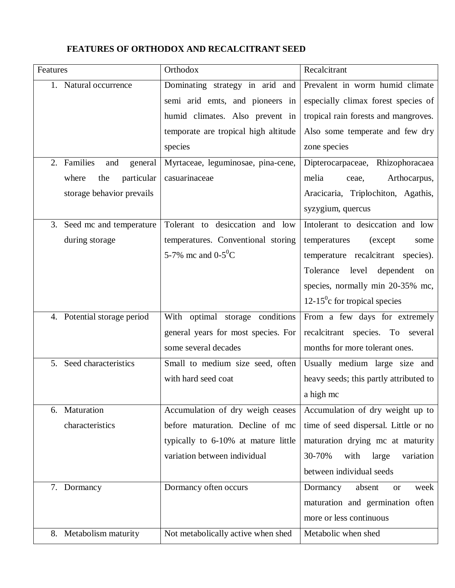# **FEATURES OF ORTHODOX AND RECALCITRANT SEED**

| Features                         | Orthodox                             | Recalcitrant                              |
|----------------------------------|--------------------------------------|-------------------------------------------|
| 1. Natural occurrence            | Dominating strategy in arid and      | Prevalent in worm humid climate           |
|                                  | semi arid emts, and pioneers in      | especially climax forest species of       |
|                                  | humid climates. Also prevent in      | tropical rain forests and mangroves.      |
|                                  | temporate are tropical high altitude | Also some temperate and few dry           |
|                                  | species                              | zone species                              |
| Families<br>2.<br>and<br>general | Myrtaceae, leguminosae, pina-cene,   | Dipterocarpaceae, Rhizophoracaea          |
| particular<br>where<br>the       | casuarinaceae                        | melia<br>Arthocarpus,<br>ceae,            |
| storage behavior prevails        |                                      | Aracicaria, Triplochiton, Agathis,        |
|                                  |                                      | syzygium, quercus                         |
| 3.<br>Seed mc and temperature    | desiccation and low<br>Tolerant to   | Intolerant to desiccation and low         |
| during storage                   | temperatures. Conventional storing   | temperatures<br>(except)<br>some          |
|                                  | 5-7% mc and $0-5^{\circ}C$           | temperature recalcitrant species).        |
|                                  |                                      | level<br>Tolerance<br>dependent<br>on     |
|                                  |                                      | species, normally min 20-35% mc,          |
|                                  |                                      | 12-15 $\mathrm{^0c}$ for tropical species |
| 4. Potential storage period      | With optimal storage conditions      | From a few days for extremely             |
|                                  | general years for most species. For  | recalcitrant species. To several          |
|                                  | some several decades                 | months for more tolerant ones.            |
| 5. Seed characteristics          | Small to medium size seed, often     | Usually medium large size and             |
|                                  | with hard seed coat                  | heavy seeds; this partly attributed to    |
|                                  |                                      | a high mc                                 |
| Maturation<br>6.                 | Accumulation of dry weigh ceases     | Accumulation of dry weight up to          |
| characteristics                  | before maturation. Decline of mc     | time of seed dispersal. Little or no      |
|                                  | typically to 6-10% at mature little  | maturation drying mc at maturity          |
|                                  | variation between individual         | 30-70%<br>large<br>variation<br>with      |
|                                  |                                      | between individual seeds                  |
| 7. Dormancy                      | Dormancy often occurs                | Dormancy<br>absent<br>week<br><b>or</b>   |
|                                  |                                      | maturation and germination often          |
|                                  |                                      | more or less continuous                   |
| 8. Metabolism maturity           | Not metabolically active when shed   | Metabolic when shed                       |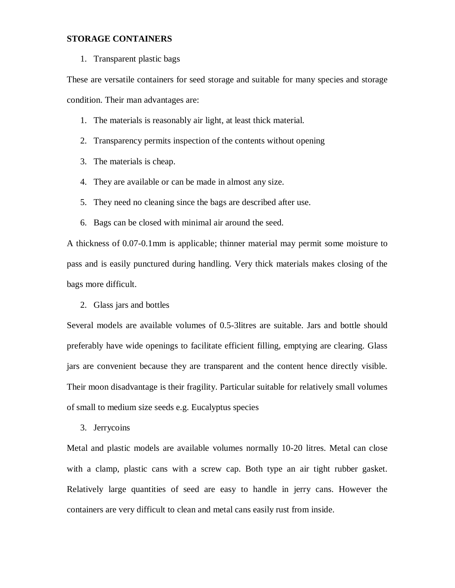# **STORAGE CONTAINERS**

1. Transparent plastic bags

These are versatile containers for seed storage and suitable for many species and storage condition. Their man advantages are:

- 1. The materials is reasonably air light, at least thick material.
- 2. Transparency permits inspection of the contents without opening
- 3. The materials is cheap.
- 4. They are available or can be made in almost any size.
- 5. They need no cleaning since the bags are described after use.
- 6. Bags can be closed with minimal air around the seed.

A thickness of 0.07-0.1mm is applicable; thinner material may permit some moisture to pass and is easily punctured during handling. Very thick materials makes closing of the bags more difficult.

2. Glass jars and bottles

Several models are available volumes of 0.5-3litres are suitable. Jars and bottle should preferably have wide openings to facilitate efficient filling, emptying are clearing. Glass jars are convenient because they are transparent and the content hence directly visible. Their moon disadvantage is their fragility. Particular suitable for relatively small volumes of small to medium size seeds e.g. Eucalyptus species

3. Jerrycoins

Metal and plastic models are available volumes normally 10-20 litres. Metal can close with a clamp, plastic cans with a screw cap. Both type an air tight rubber gasket. Relatively large quantities of seed are easy to handle in jerry cans. However the containers are very difficult to clean and metal cans easily rust from inside.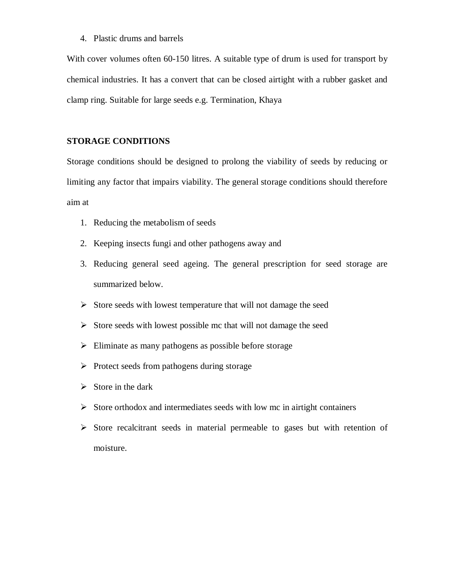4. Plastic drums and barrels

With cover volumes often 60-150 litres. A suitable type of drum is used for transport by chemical industries. It has a convert that can be closed airtight with a rubber gasket and clamp ring. Suitable for large seeds e.g. Termination, Khaya

# **STORAGE CONDITIONS**

Storage conditions should be designed to prolong the viability of seeds by reducing or limiting any factor that impairs viability. The general storage conditions should therefore aim at

- 1. Reducing the metabolism of seeds
- 2. Keeping insects fungi and other pathogens away and
- 3. Reducing general seed ageing. The general prescription for seed storage are summarized below.
- $\triangleright$  Store seeds with lowest temperature that will not damage the seed
- $\triangleright$  Store seeds with lowest possible mc that will not damage the seed
- $\triangleright$  Eliminate as many pathogens as possible before storage
- $\triangleright$  Protect seeds from pathogens during storage
- $\triangleright$  Store in the dark
- $\triangleright$  Store orthodox and intermediates seeds with low mc in airtight containers
- $\triangleright$  Store recalcitrant seeds in material permeable to gases but with retention of moisture.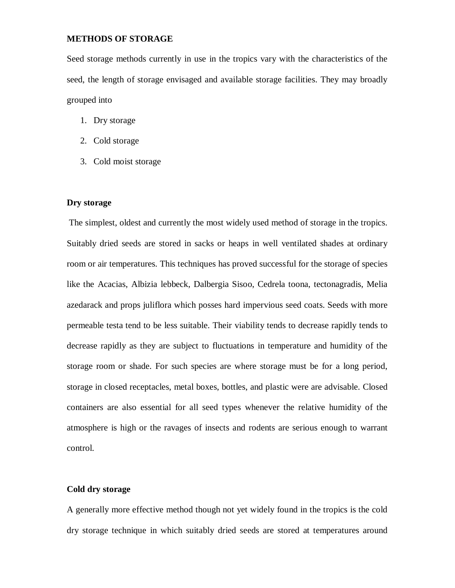# **METHODS OF STORAGE**

Seed storage methods currently in use in the tropics vary with the characteristics of the seed, the length of storage envisaged and available storage facilities. They may broadly grouped into

- 1. Dry storage
- 2. Cold storage
- 3. Cold moist storage

# **Dry storage**

The simplest, oldest and currently the most widely used method of storage in the tropics. Suitably dried seeds are stored in sacks or heaps in well ventilated shades at ordinary room or air temperatures. This techniques has proved successful for the storage of species like the Acacias, Albizia lebbeck, Dalbergia Sisoo, Cedrela toona, tectonagradis, Melia azedarack and props juliflora which posses hard impervious seed coats. Seeds with more permeable testa tend to be less suitable. Their viability tends to decrease rapidly tends to decrease rapidly as they are subject to fluctuations in temperature and humidity of the storage room or shade. For such species are where storage must be for a long period, storage in closed receptacles, metal boxes, bottles, and plastic were are advisable. Closed containers are also essential for all seed types whenever the relative humidity of the atmosphere is high or the ravages of insects and rodents are serious enough to warrant control.

# **Cold dry storage**

A generally more effective method though not yet widely found in the tropics is the cold dry storage technique in which suitably dried seeds are stored at temperatures around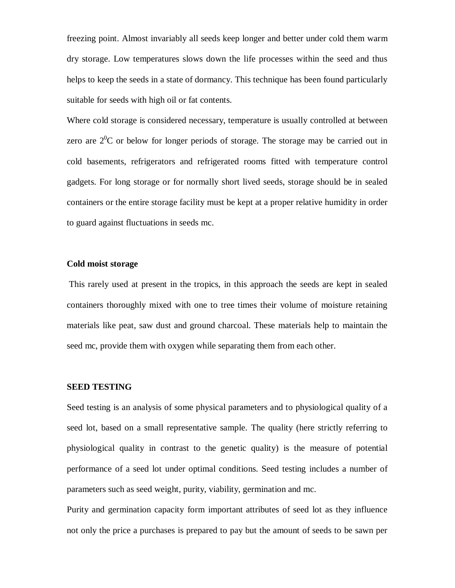freezing point. Almost invariably all seeds keep longer and better under cold them warm dry storage. Low temperatures slows down the life processes within the seed and thus helps to keep the seeds in a state of dormancy. This technique has been found particularly suitable for seeds with high oil or fat contents.

Where cold storage is considered necessary, temperature is usually controlled at between zero are  $2^{0}C$  or below for longer periods of storage. The storage may be carried out in cold basements, refrigerators and refrigerated rooms fitted with temperature control gadgets. For long storage or for normally short lived seeds, storage should be in sealed containers or the entire storage facility must be kept at a proper relative humidity in order to guard against fluctuations in seeds mc.

# **Cold moist storage**

This rarely used at present in the tropics, in this approach the seeds are kept in sealed containers thoroughly mixed with one to tree times their volume of moisture retaining materials like peat, saw dust and ground charcoal. These materials help to maintain the seed mc, provide them with oxygen while separating them from each other.

#### **SEED TESTING**

Seed testing is an analysis of some physical parameters and to physiological quality of a seed lot, based on a small representative sample. The quality (here strictly referring to physiological quality in contrast to the genetic quality) is the measure of potential performance of a seed lot under optimal conditions. Seed testing includes a number of parameters such as seed weight, purity, viability, germination and mc.

Purity and germination capacity form important attributes of seed lot as they influence not only the price a purchases is prepared to pay but the amount of seeds to be sawn per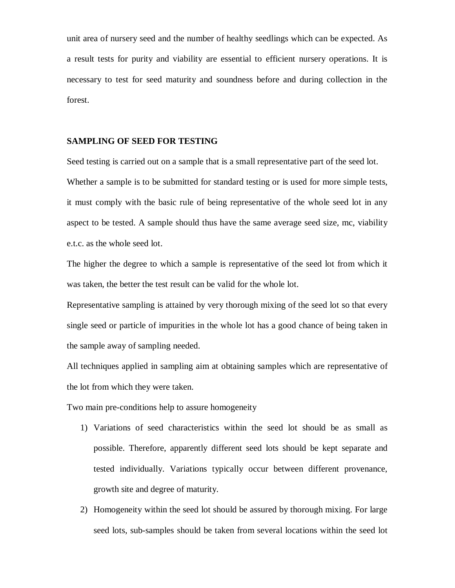unit area of nursery seed and the number of healthy seedlings which can be expected. As a result tests for purity and viability are essential to efficient nursery operations. It is necessary to test for seed maturity and soundness before and during collection in the forest.

#### **SAMPLING OF SEED FOR TESTING**

Seed testing is carried out on a sample that is a small representative part of the seed lot. Whether a sample is to be submitted for standard testing or is used for more simple tests, it must comply with the basic rule of being representative of the whole seed lot in any aspect to be tested. A sample should thus have the same average seed size, mc, viability e.t.c. as the whole seed lot.

The higher the degree to which a sample is representative of the seed lot from which it was taken, the better the test result can be valid for the whole lot.

Representative sampling is attained by very thorough mixing of the seed lot so that every single seed or particle of impurities in the whole lot has a good chance of being taken in the sample away of sampling needed.

All techniques applied in sampling aim at obtaining samples which are representative of the lot from which they were taken.

Two main pre-conditions help to assure homogeneity

- 1) Variations of seed characteristics within the seed lot should be as small as possible. Therefore, apparently different seed lots should be kept separate and tested individually. Variations typically occur between different provenance, growth site and degree of maturity.
- 2) Homogeneity within the seed lot should be assured by thorough mixing. For large seed lots, sub-samples should be taken from several locations within the seed lot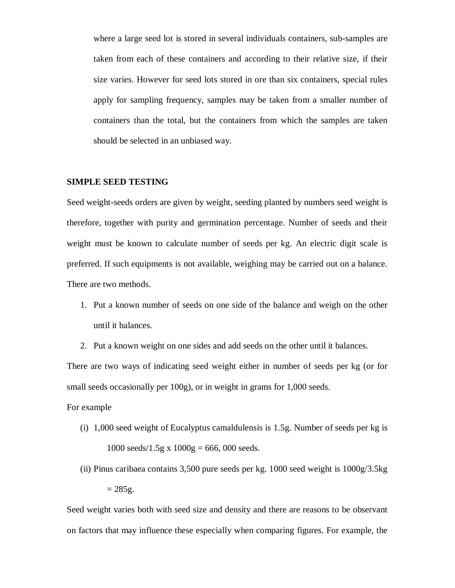where a large seed lot is stored in several individuals containers, sub-samples are taken from each of these containers and according to their relative size, if their size varies. However for seed lots stored in ore than six containers, special rules apply for sampling frequency, samples may be taken from a smaller number of containers than the total, but the containers from which the samples are taken should be selected in an unbiased way.

# **SIMPLE SEED TESTING**

Seed weight-seeds orders are given by weight, seeding planted by numbers seed weight is therefore, together with purity and germination percentage. Number of seeds and their weight must be known to calculate number of seeds per kg. An electric digit scale is preferred. If such equipments is not available, weighing may be carried out on a balance. There are two methods.

- 1. Put a known number of seeds on one side of the balance and weigh on the other until it balances.
- 2. Put a known weight on one sides and add seeds on the other until it balances.

There are two ways of indicating seed weight either in number of seeds per kg (or for small seeds occasionally per 100g), or in weight in grams for 1,000 seeds.

For example

- (i) 1,000 seed weight of Eucalyptus camaldulensis is 1.5g. Number of seeds per kg is 1000 seeds/1.5g x  $1000g = 666,000$  seeds.
- (ii) Pinus caribaea contains 3,500 pure seeds per kg. 1000 seed weight is 1000g/3.5kg  $= 285g.$

Seed weight varies both with seed size and density and there are reasons to be observant on factors that may influence these especially when comparing figures. For example, the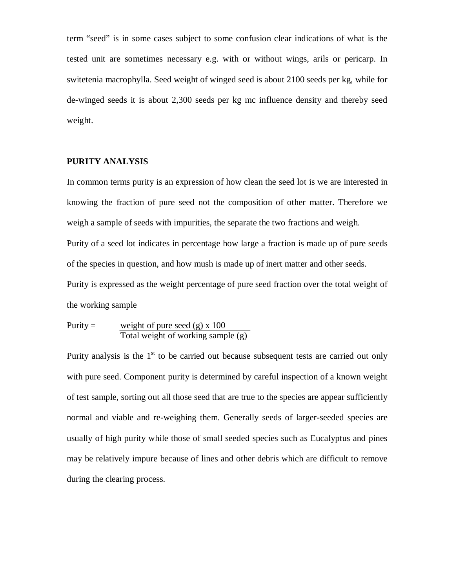term "seed" is in some cases subject to some confusion clear indications of what is the tested unit are sometimes necessary e.g. with or without wings, arils or pericarp. In switetenia macrophylla. Seed weight of winged seed is about 2100 seeds per kg, while for de-winged seeds it is about 2,300 seeds per kg mc influence density and thereby seed weight.

# **PURITY ANALYSIS**

In common terms purity is an expression of how clean the seed lot is we are interested in knowing the fraction of pure seed not the composition of other matter. Therefore we weigh a sample of seeds with impurities, the separate the two fractions and weigh. Purity of a seed lot indicates in percentage how large a fraction is made up of pure seeds of the species in question, and how mush is made up of inert matter and other seeds. Purity is expressed as the weight percentage of pure seed fraction over the total weight of the working sample

$$
Purity = \frac{\text{weight of pure seed (g) x 100}}{\text{Total weight of working sample (g)}}
$$

Purity analysis is the  $1<sup>st</sup>$  to be carried out because subsequent tests are carried out only with pure seed. Component purity is determined by careful inspection of a known weight of test sample, sorting out all those seed that are true to the species are appear sufficiently normal and viable and re-weighing them. Generally seeds of larger-seeded species are usually of high purity while those of small seeded species such as Eucalyptus and pines may be relatively impure because of lines and other debris which are difficult to remove during the clearing process.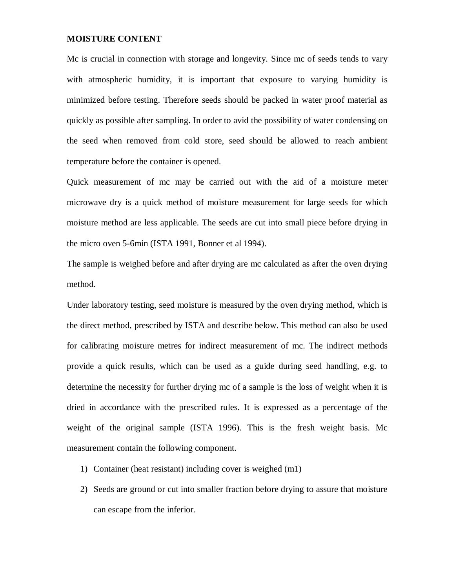# **MOISTURE CONTENT**

Mc is crucial in connection with storage and longevity. Since mc of seeds tends to vary with atmospheric humidity, it is important that exposure to varying humidity is minimized before testing. Therefore seeds should be packed in water proof material as quickly as possible after sampling. In order to avid the possibility of water condensing on the seed when removed from cold store, seed should be allowed to reach ambient temperature before the container is opened.

Quick measurement of mc may be carried out with the aid of a moisture meter microwave dry is a quick method of moisture measurement for large seeds for which moisture method are less applicable. The seeds are cut into small piece before drying in the micro oven 5-6min (ISTA 1991, Bonner et al 1994).

The sample is weighed before and after drying are mc calculated as after the oven drying method.

Under laboratory testing, seed moisture is measured by the oven drying method, which is the direct method, prescribed by ISTA and describe below. This method can also be used for calibrating moisture metres for indirect measurement of mc. The indirect methods provide a quick results, which can be used as a guide during seed handling, e.g. to determine the necessity for further drying mc of a sample is the loss of weight when it is dried in accordance with the prescribed rules. It is expressed as a percentage of the weight of the original sample (ISTA 1996). This is the fresh weight basis. Mc measurement contain the following component.

- 1) Container (heat resistant) including cover is weighed (m1)
- 2) Seeds are ground or cut into smaller fraction before drying to assure that moisture can escape from the inferior.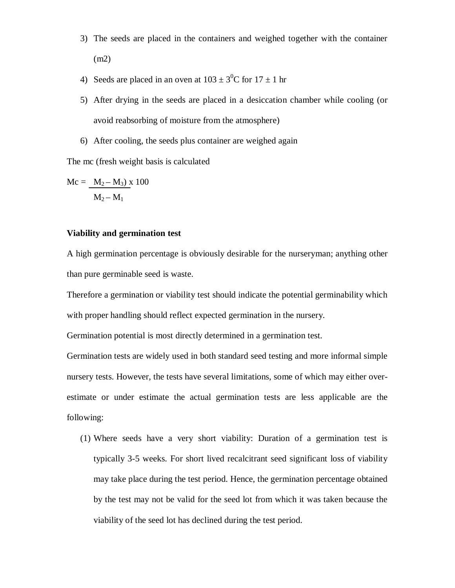- 3) The seeds are placed in the containers and weighed together with the container (m2)
- 4) Seeds are placed in an oven at  $103 \pm 3^0C$  for  $17 \pm 1$  hr
- 5) After drying in the seeds are placed in a desiccation chamber while cooling (or avoid reabsorbing of moisture from the atmosphere)
- 6) After cooling, the seeds plus container are weighed again

The mc (fresh weight basis is calculated

$$
Mc = \frac{M_2 - M_3}{M_2 - M_1} \times 100
$$

# **Viability and germination test**

A high germination percentage is obviously desirable for the nurseryman; anything other than pure germinable seed is waste.

Therefore a germination or viability test should indicate the potential germinability which with proper handling should reflect expected germination in the nursery.

Germination potential is most directly determined in a germination test.

Germination tests are widely used in both standard seed testing and more informal simple nursery tests. However, the tests have several limitations, some of which may either overestimate or under estimate the actual germination tests are less applicable are the following:

(1) Where seeds have a very short viability: Duration of a germination test is typically 3-5 weeks. For short lived recalcitrant seed significant loss of viability may take place during the test period. Hence, the germination percentage obtained by the test may not be valid for the seed lot from which it was taken because the viability of the seed lot has declined during the test period.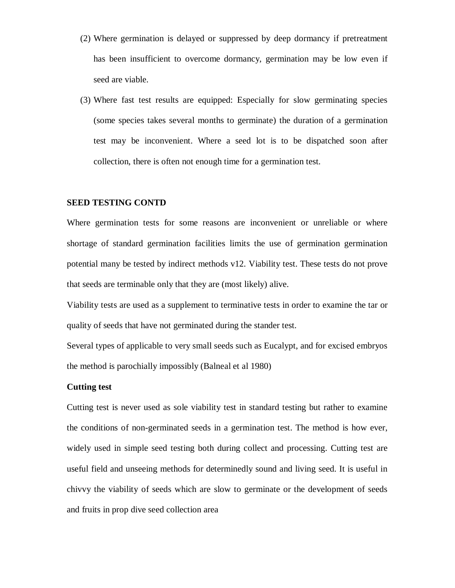- (2) Where germination is delayed or suppressed by deep dormancy if pretreatment has been insufficient to overcome dormancy, germination may be low even if seed are viable.
- (3) Where fast test results are equipped: Especially for slow germinating species (some species takes several months to germinate) the duration of a germination test may be inconvenient. Where a seed lot is to be dispatched soon after collection, there is often not enough time for a germination test.

## **SEED TESTING CONTD**

Where germination tests for some reasons are inconvenient or unreliable or where shortage of standard germination facilities limits the use of germination germination potential many be tested by indirect methods v12. Viability test. These tests do not prove that seeds are terminable only that they are (most likely) alive.

Viability tests are used as a supplement to terminative tests in order to examine the tar or quality of seeds that have not germinated during the stander test.

Several types of applicable to very small seeds such as Eucalypt, and for excised embryos the method is parochially impossibly (Balneal et al 1980)

# **Cutting test**

Cutting test is never used as sole viability test in standard testing but rather to examine the conditions of non-germinated seeds in a germination test. The method is how ever, widely used in simple seed testing both during collect and processing. Cutting test are useful field and unseeing methods for determinedly sound and living seed. It is useful in chivvy the viability of seeds which are slow to germinate or the development of seeds and fruits in prop dive seed collection area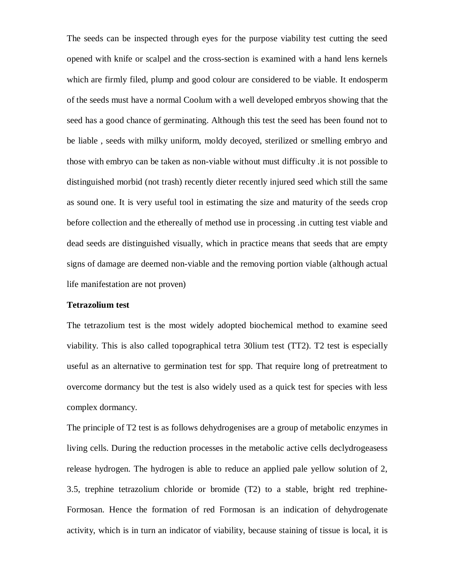The seeds can be inspected through eyes for the purpose viability test cutting the seed opened with knife or scalpel and the cross-section is examined with a hand lens kernels which are firmly filed, plump and good colour are considered to be viable. It endosperm of the seeds must have a normal Coolum with a well developed embryos showing that the seed has a good chance of germinating. Although this test the seed has been found not to be liable , seeds with milky uniform, moldy decoyed, sterilized or smelling embryo and those with embryo can be taken as non-viable without must difficulty .it is not possible to distinguished morbid (not trash) recently dieter recently injured seed which still the same as sound one. It is very useful tool in estimating the size and maturity of the seeds crop before collection and the ethereally of method use in processing .in cutting test viable and dead seeds are distinguished visually, which in practice means that seeds that are empty signs of damage are deemed non-viable and the removing portion viable (although actual life manifestation are not proven)

## **Tetrazolium test**

The tetrazolium test is the most widely adopted biochemical method to examine seed viability. This is also called topographical tetra 30lium test (TT2). T2 test is especially useful as an alternative to germination test for spp. That require long of pretreatment to overcome dormancy but the test is also widely used as a quick test for species with less complex dormancy.

The principle of T2 test is as follows dehydrogenises are a group of metabolic enzymes in living cells. During the reduction processes in the metabolic active cells declydrogeasess release hydrogen. The hydrogen is able to reduce an applied pale yellow solution of 2, 3.5, trephine tetrazolium chloride or bromide (T2) to a stable, bright red trephine-Formosan. Hence the formation of red Formosan is an indication of dehydrogenate activity, which is in turn an indicator of viability, because staining of tissue is local, it is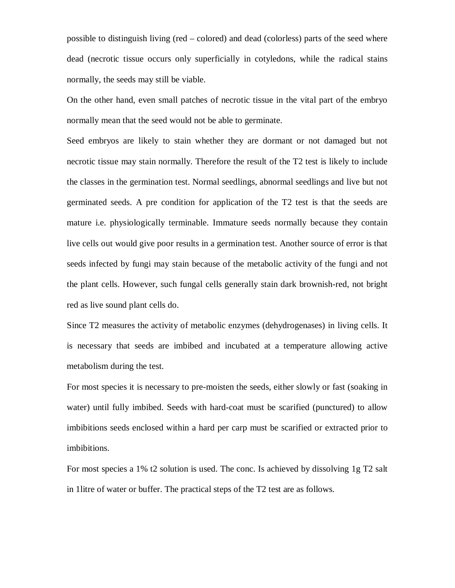possible to distinguish living (red – colored) and dead (colorless) parts of the seed where dead (necrotic tissue occurs only superficially in cotyledons, while the radical stains normally, the seeds may still be viable.

On the other hand, even small patches of necrotic tissue in the vital part of the embryo normally mean that the seed would not be able to germinate.

Seed embryos are likely to stain whether they are dormant or not damaged but not necrotic tissue may stain normally. Therefore the result of the T2 test is likely to include the classes in the germination test. Normal seedlings, abnormal seedlings and live but not germinated seeds. A pre condition for application of the T2 test is that the seeds are mature i.e. physiologically terminable. Immature seeds normally because they contain live cells out would give poor results in a germination test. Another source of error is that seeds infected by fungi may stain because of the metabolic activity of the fungi and not the plant cells. However, such fungal cells generally stain dark brownish-red, not bright red as live sound plant cells do.

Since T2 measures the activity of metabolic enzymes (dehydrogenases) in living cells. It is necessary that seeds are imbibed and incubated at a temperature allowing active metabolism during the test.

For most species it is necessary to pre-moisten the seeds, either slowly or fast (soaking in water) until fully imbibed. Seeds with hard-coat must be scarified (punctured) to allow imbibitions seeds enclosed within a hard per carp must be scarified or extracted prior to imbibitions.

For most species a 1% t2 solution is used. The conc. Is achieved by dissolving 1g T2 salt in 1litre of water or buffer. The practical steps of the T2 test are as follows.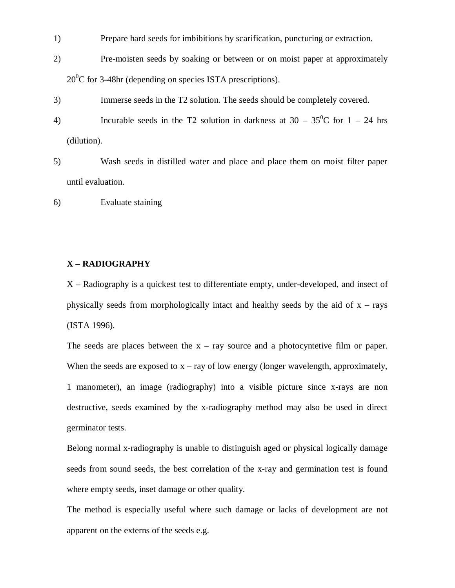- 1) Prepare hard seeds for imbibitions by scarification, puncturing or extraction.
- 2) Pre-moisten seeds by soaking or between or on moist paper at approximately  $20^0$ C for 3-48hr (depending on species ISTA prescriptions).
- 3) Immerse seeds in the T2 solution. The seeds should be completely covered.
- 4) Incurable seeds in the T2 solution in darkness at  $30 35^{\circ}$ C for  $1 24$  hrs (dilution).
- 5) Wash seeds in distilled water and place and place them on moist filter paper until evaluation.

6) Evaluate staining

#### **X – RADIOGRAPHY**

X – Radiography is a quickest test to differentiate empty, under-developed, and insect of physically seeds from morphologically intact and healthy seeds by the aid of  $x - rays$ (ISTA 1996).

The seeds are places between the  $x - ray$  source and a photocyntetive film or paper. When the seeds are exposed to  $x - ray$  of low energy (longer wavelength, approximately, 1 manometer), an image (radiography) into a visible picture since x-rays are non destructive, seeds examined by the x-radiography method may also be used in direct germinator tests.

Belong normal x-radiography is unable to distinguish aged or physical logically damage seeds from sound seeds, the best correlation of the x-ray and germination test is found where empty seeds, inset damage or other quality.

The method is especially useful where such damage or lacks of development are not apparent on the externs of the seeds e.g.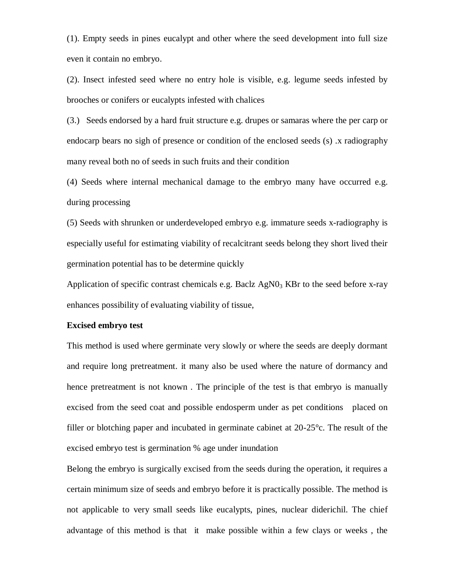(1). Empty seeds in pines eucalypt and other where the seed development into full size even it contain no embryo.

(2). Insect infested seed where no entry hole is visible, e.g. legume seeds infested by brooches or conifers or eucalypts infested with chalices

(3.) Seeds endorsed by a hard fruit structure e.g. drupes or samaras where the per carp or endocarp bears no sigh of presence or condition of the enclosed seeds (s) .x radiography many reveal both no of seeds in such fruits and their condition

(4) Seeds where internal mechanical damage to the embryo many have occurred e.g. during processing

(5) Seeds with shrunken or underdeveloped embryo e.g. immature seeds x-radiography is especially useful for estimating viability of recalcitrant seeds belong they short lived their germination potential has to be determine quickly

Application of specific contrast chemicals e.g. Baclz  $AgN0<sub>3</sub>$  KBr to the seed before x-ray enhances possibility of evaluating viability of tissue,

#### **Excised embryo test**

This method is used where germinate very slowly or where the seeds are deeply dormant and require long pretreatment. it many also be used where the nature of dormancy and hence pretreatment is not known . The principle of the test is that embryo is manually excised from the seed coat and possible endosperm under as pet conditions placed on filler or blotching paper and incubated in germinate cabinet at 20-25°c. The result of the excised embryo test is germination % age under inundation

Belong the embryo is surgically excised from the seeds during the operation, it requires a certain minimum size of seeds and embryo before it is practically possible. The method is not applicable to very small seeds like eucalypts, pines, nuclear diderichil. The chief advantage of this method is that it make possible within a few clays or weeks , the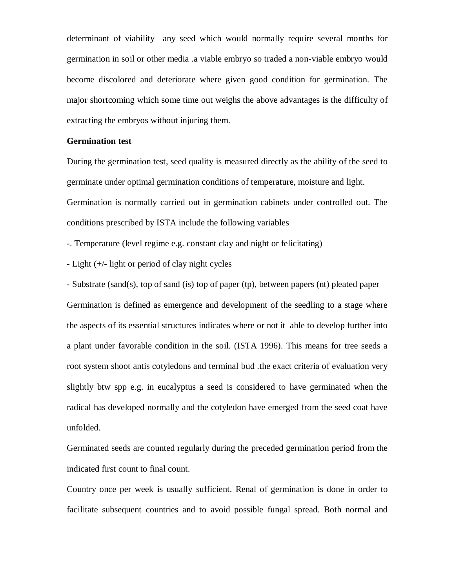determinant of viability any seed which would normally require several months for germination in soil or other media .a viable embryo so traded a non-viable embryo would become discolored and deteriorate where given good condition for germination. The major shortcoming which some time out weighs the above advantages is the difficulty of extracting the embryos without injuring them.

#### **Germination test**

During the germination test, seed quality is measured directly as the ability of the seed to germinate under optimal germination conditions of temperature, moisture and light. Germination is normally carried out in germination cabinets under controlled out. The conditions prescribed by ISTA include the following variables

-. Temperature (level regime e.g. constant clay and night or felicitating)

- Light (+/- light or period of clay night cycles

- Substrate (sand(s), top of sand (is) top of paper (tp), between papers (nt) pleated paper Germination is defined as emergence and development of the seedling to a stage where the aspects of its essential structures indicates where or not it able to develop further into a plant under favorable condition in the soil. (ISTA 1996). This means for tree seeds a root system shoot antis cotyledons and terminal bud .the exact criteria of evaluation very slightly btw spp e.g. in eucalyptus a seed is considered to have germinated when the radical has developed normally and the cotyledon have emerged from the seed coat have unfolded.

Germinated seeds are counted regularly during the preceded germination period from the indicated first count to final count.

Country once per week is usually sufficient. Renal of germination is done in order to facilitate subsequent countries and to avoid possible fungal spread. Both normal and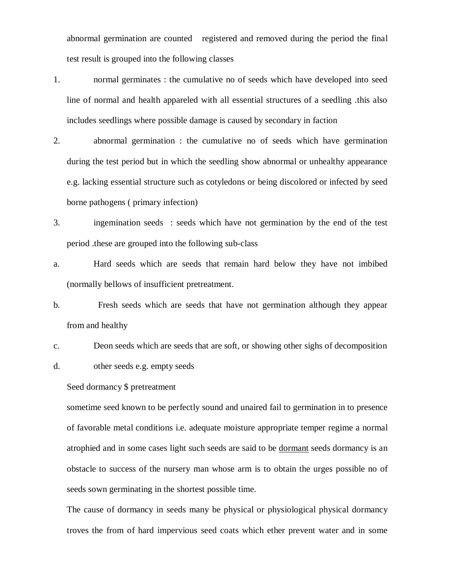abnormal germination are counted registered and removed during the period the final test result is grouped into the following classes

- 1. normal germinates : the cumulative no of seeds which have developed into seed line of normal and health appareled with all essential structures of a seedling .this also includes seedlings where possible damage is caused by secondary in faction
- 2. abnormal germination : the cumulative no of seeds which have germination during the test period but in which the seedling show abnormal or unhealthy appearance e.g. lacking essential structure such as cotyledons or being discolored or infected by seed borne pathogens ( primary infection)
- 3. ingemination seeds : seeds which have not germination by the end of the test period .these are grouped into the following sub-class
- a. Hard seeds which are seeds that remain hard below they have not imbibed (normally bellows of insufficient pretreatment.
- b. Fresh seeds which are seeds that have not germination although they appear from and healthy
- c. Deon seeds which are seeds that are soft, or showing other sighs of decomposition d. other seeds e.g. empty seeds

Seed dormancy \$ pretreatment

sometime seed known to be perfectly sound and unaired fail to germination in to presence of favorable metal conditions i.e. adequate moisture appropriate temper regime a normal atrophied and in some cases light such seeds are said to be dormant seeds dormancy is an obstacle to success of the nursery man whose arm is to obtain the urges possible no of seeds sown germinating in the shortest possible time.

The cause of dormancy in seeds many be physical or physiological physical dormancy troves the from of hard impervious seed coats which ether prevent water and in some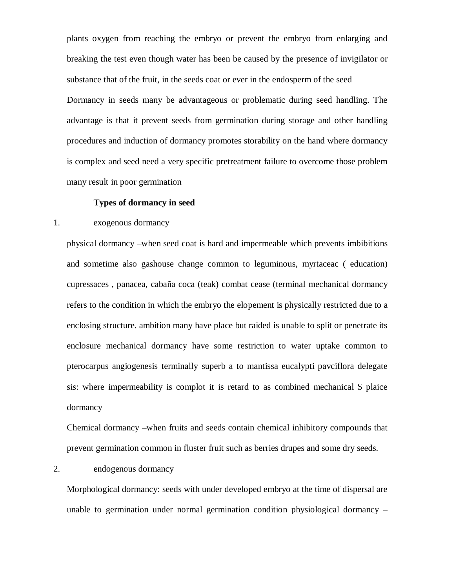plants oxygen from reaching the embryo or prevent the embryo from enlarging and breaking the test even though water has been be caused by the presence of invigilator or substance that of the fruit, in the seeds coat or ever in the endosperm of the seed Dormancy in seeds many be advantageous or problematic during seed handling. The advantage is that it prevent seeds from germination during storage and other handling procedures and induction of dormancy promotes storability on the hand where dormancy is complex and seed need a very specific pretreatment failure to overcome those problem many result in poor germination

## **Types of dormancy in seed**

# 1. exogenous dormancy

physical dormancy –when seed coat is hard and impermeable which prevents imbibitions and sometime also gashouse change common to leguminous, myrtaceac ( education) cupressaces , panacea, cabaña coca (teak) combat cease (terminal mechanical dormancy refers to the condition in which the embryo the elopement is physically restricted due to a enclosing structure. ambition many have place but raided is unable to split or penetrate its enclosure mechanical dormancy have some restriction to water uptake common to pterocarpus angiogenesis terminally superb a to mantissa eucalypti pavciflora delegate sis: where impermeability is complot it is retard to as combined mechanical \$ plaice dormancy

Chemical dormancy –when fruits and seeds contain chemical inhibitory compounds that prevent germination common in fluster fruit such as berries drupes and some dry seeds.

# 2. endogenous dormancy

Morphological dormancy: seeds with under developed embryo at the time of dispersal are unable to germination under normal germination condition physiological dormancy –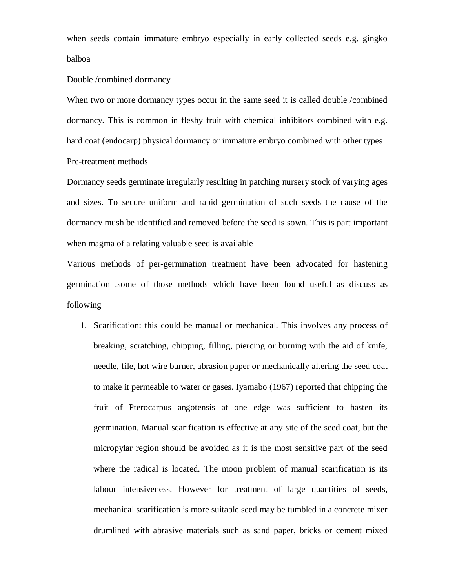when seeds contain immature embryo especially in early collected seeds e.g. gingko balboa

## Double /combined dormancy

When two or more dormancy types occur in the same seed it is called double /combined dormancy. This is common in fleshy fruit with chemical inhibitors combined with e.g. hard coat (endocarp) physical dormancy or immature embryo combined with other types Pre-treatment methods

Dormancy seeds germinate irregularly resulting in patching nursery stock of varying ages and sizes. To secure uniform and rapid germination of such seeds the cause of the dormancy mush be identified and removed before the seed is sown. This is part important when magma of a relating valuable seed is available

Various methods of per-germination treatment have been advocated for hastening germination .some of those methods which have been found useful as discuss as following

1. Scarification: this could be manual or mechanical. This involves any process of breaking, scratching, chipping, filling, piercing or burning with the aid of knife, needle, file, hot wire burner, abrasion paper or mechanically altering the seed coat to make it permeable to water or gases. Iyamabo (1967) reported that chipping the fruit of Pterocarpus angotensis at one edge was sufficient to hasten its germination. Manual scarification is effective at any site of the seed coat, but the micropylar region should be avoided as it is the most sensitive part of the seed where the radical is located. The moon problem of manual scarification is its labour intensiveness. However for treatment of large quantities of seeds, mechanical scarification is more suitable seed may be tumbled in a concrete mixer drumlined with abrasive materials such as sand paper, bricks or cement mixed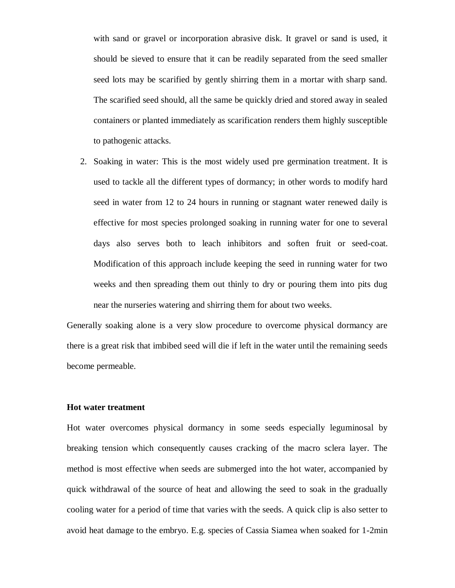with sand or gravel or incorporation abrasive disk. It gravel or sand is used, it should be sieved to ensure that it can be readily separated from the seed smaller seed lots may be scarified by gently shirring them in a mortar with sharp sand. The scarified seed should, all the same be quickly dried and stored away in sealed containers or planted immediately as scarification renders them highly susceptible to pathogenic attacks.

2. Soaking in water: This is the most widely used pre germination treatment. It is used to tackle all the different types of dormancy; in other words to modify hard seed in water from 12 to 24 hours in running or stagnant water renewed daily is effective for most species prolonged soaking in running water for one to several days also serves both to leach inhibitors and soften fruit or seed-coat. Modification of this approach include keeping the seed in running water for two weeks and then spreading them out thinly to dry or pouring them into pits dug near the nurseries watering and shirring them for about two weeks.

Generally soaking alone is a very slow procedure to overcome physical dormancy are there is a great risk that imbibed seed will die if left in the water until the remaining seeds become permeable.

#### **Hot water treatment**

Hot water overcomes physical dormancy in some seeds especially leguminosal by breaking tension which consequently causes cracking of the macro sclera layer. The method is most effective when seeds are submerged into the hot water, accompanied by quick withdrawal of the source of heat and allowing the seed to soak in the gradually cooling water for a period of time that varies with the seeds. A quick clip is also setter to avoid heat damage to the embryo. E.g. species of Cassia Siamea when soaked for 1-2min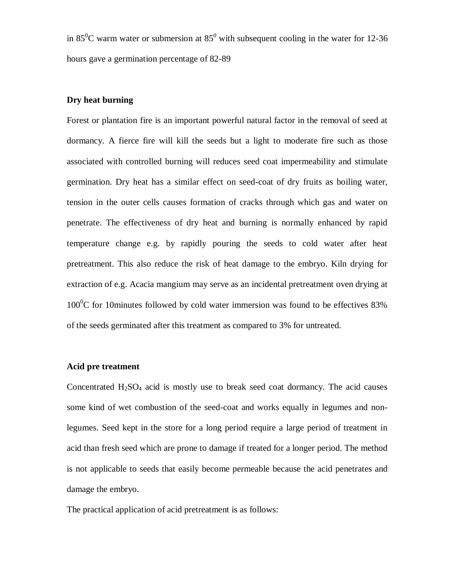in  $85^{\circ}$ C warm water or submersion at  $85^{\circ}$  with subsequent cooling in the water for 12-36 hours gave a germination percentage of 82-89

# **Dry heat burning**

Forest or plantation fire is an important powerful natural factor in the removal of seed at dormancy. A fierce fire will kill the seeds but a light to moderate fire such as those associated with controlled burning will reduces seed coat impermeability and stimulate germination. Dry heat has a similar effect on seed-coat of dry fruits as boiling water, tension in the outer cells causes formation of cracks through which gas and water on penetrate. The effectiveness of dry heat and burning is normally enhanced by rapid temperature change e.g. by rapidly pouring the seeds to cold water after heat pretreatment. This also reduce the risk of heat damage to the embryo. Kiln drying for extraction of e.g. Acacia mangium may serve as an incidental pretreatment oven drying at  $100^{\circ}$ C for 10minutes followed by cold water immersion was found to be effectives 83% of the seeds germinated after this treatment as compared to 3% for untreated.

#### **Acid pre treatment**

Concentrated  $H<sub>2</sub>SO<sub>4</sub>$  acid is mostly use to break seed coat dormancy. The acid causes some kind of wet combustion of the seed-coat and works equally in legumes and nonlegumes. Seed kept in the store for a long period require a large period of treatment in acid than fresh seed which are prone to damage if treated for a longer period. The method is not applicable to seeds that easily become permeable because the acid penetrates and damage the embryo.

The practical application of acid pretreatment is as follows: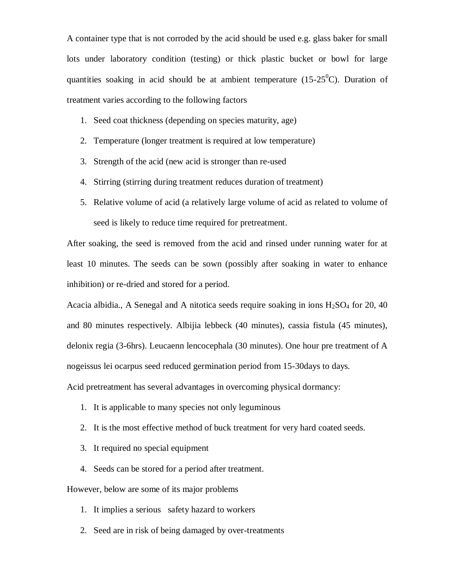A container type that is not corroded by the acid should be used e.g. glass baker for small lots under laboratory condition (testing) or thick plastic bucket or bowl for large quantities soaking in acid should be at ambient temperature (15-25<sup>0</sup>C). Duration of treatment varies according to the following factors

- 1. Seed coat thickness (depending on species maturity, age)
- 2. Temperature (longer treatment is required at low temperature)
- 3. Strength of the acid (new acid is stronger than re-used
- 4. Stirring (stirring during treatment reduces duration of treatment)
- 5. Relative volume of acid (a relatively large volume of acid as related to volume of seed is likely to reduce time required for pretreatment.

After soaking, the seed is removed from the acid and rinsed under running water for at least 10 minutes. The seeds can be sown (possibly after soaking in water to enhance inhibition) or re-dried and stored for a period.

Acacia albidia., A Senegal and A nitotica seeds require soaking in ions  $H_2SO_4$  for 20, 40 and 80 minutes respectively. Albijia lebbeck (40 minutes), cassia fistula (45 minutes), delonix regia (3-6hrs). Leucaenn lencocephala (30 minutes). One hour pre treatment of A nogeissus lei ocarpus seed reduced germination period from 15-30days to days.

Acid pretreatment has several advantages in overcoming physical dormancy:

- 1. It is applicable to many species not only leguminous
- 2. It is the most effective method of buck treatment for very hard coated seeds.
- 3. It required no special equipment
- 4. Seeds can be stored for a period after treatment.

However, below are some of its major problems

- 1. It implies a serious safety hazard to workers
- 2. Seed are in risk of being damaged by over-treatments